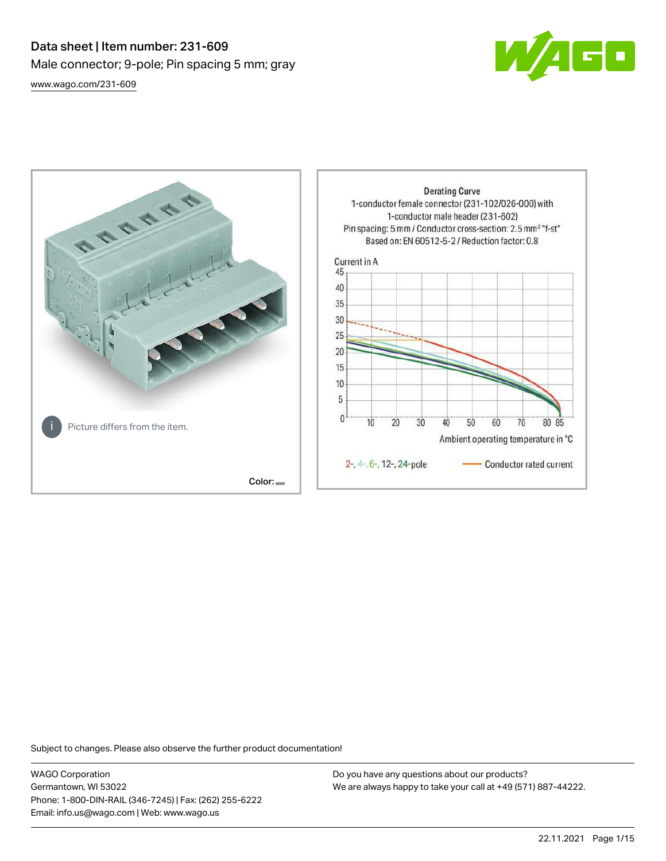# Data sheet | Item number: 231-609 Male connector; 9-pole; Pin spacing 5 mm; gray [www.wago.com/231-609](http://www.wago.com/231-609)





Subject to changes. Please also observe the further product documentation!

WAGO Corporation Germantown, WI 53022 Phone: 1-800-DIN-RAIL (346-7245) | Fax: (262) 255-6222 Email: info.us@wago.com | Web: www.wago.us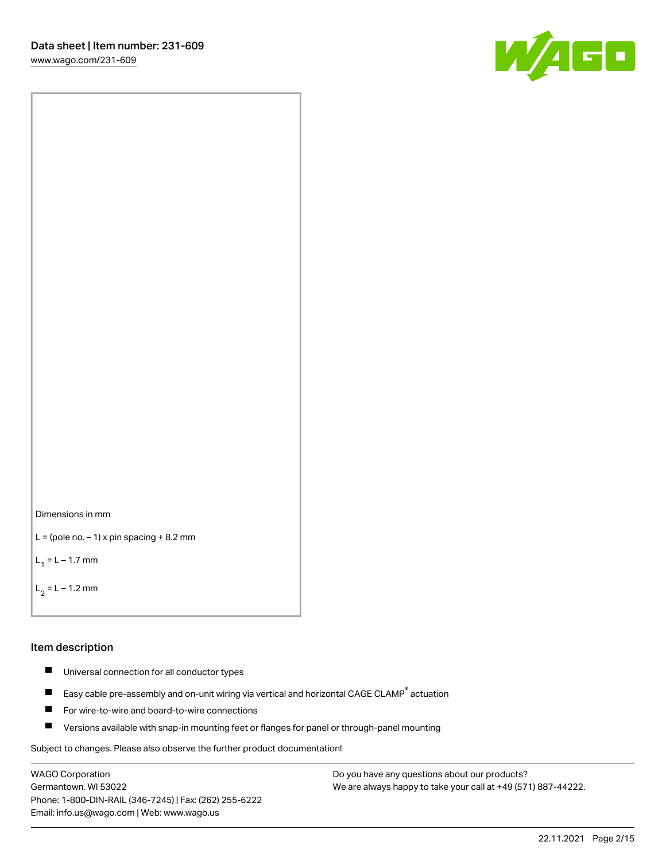



```
L = (pole no. -1) x pin spacing +8.2 mm
```
 $L_1 = L - 1.7$  mm

```
L_2 = L - 1.2 mm
```
#### Item description

- $\blacksquare$ Universal connection for all conductor types
- Easy cable pre-assembly and on-unit wiring via vertical and horizontal CAGE CLAMP<sup>®</sup> actuation  $\blacksquare$
- П For wire-to-wire and board-to-wire connections
- $\blacksquare$ Versions available with snap-in mounting feet or flanges for panel or through-panel mounting

Subject to changes. Please also observe the further product documentation!

WAGO Corporation Germantown, WI 53022 Phone: 1-800-DIN-RAIL (346-7245) | Fax: (262) 255-6222 Email: info.us@wago.com | Web: www.wago.us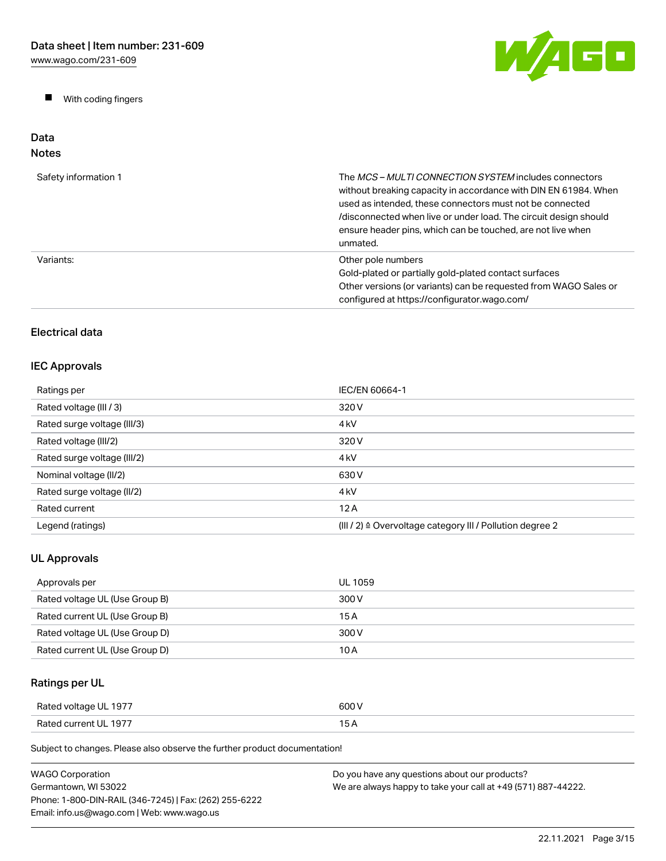$\blacksquare$ With coding fingers



#### Data Notes

| Safety information 1 | The MCS-MULTI CONNECTION SYSTEM includes connectors<br>without breaking capacity in accordance with DIN EN 61984. When<br>used as intended, these connectors must not be connected<br>/disconnected when live or under load. The circuit design should<br>ensure header pins, which can be touched, are not live when<br>unmated. |
|----------------------|-----------------------------------------------------------------------------------------------------------------------------------------------------------------------------------------------------------------------------------------------------------------------------------------------------------------------------------|
| Variants:            | Other pole numbers<br>Gold-plated or partially gold-plated contact surfaces<br>Other versions (or variants) can be requested from WAGO Sales or<br>configured at https://configurator.wago.com/                                                                                                                                   |

# Electrical data

# IEC Approvals

| Ratings per                 | IEC/EN 60664-1                                                       |
|-----------------------------|----------------------------------------------------------------------|
| Rated voltage (III / 3)     | 320 V                                                                |
| Rated surge voltage (III/3) | 4 <sub>k</sub> V                                                     |
| Rated voltage (III/2)       | 320 V                                                                |
| Rated surge voltage (III/2) | 4 <sub>k</sub> V                                                     |
| Nominal voltage (II/2)      | 630 V                                                                |
| Rated surge voltage (II/2)  | 4 <sub>k</sub> V                                                     |
| Rated current               | 12A                                                                  |
| Legend (ratings)            | (III / 2) $\triangleq$ Overvoltage category III / Pollution degree 2 |

# UL Approvals

| Approvals per                  | UL 1059 |
|--------------------------------|---------|
| Rated voltage UL (Use Group B) | 300 V   |
| Rated current UL (Use Group B) | 15 A    |
| Rated voltage UL (Use Group D) | 300 V   |
| Rated current UL (Use Group D) | 10 A    |

# Ratings per UL

| Rated voltage UL 1977 | 600 V |
|-----------------------|-------|
| Rated current UL 1977 | . .   |

| WAGO Corporation                                       | Do you have any questions about our products?                 |
|--------------------------------------------------------|---------------------------------------------------------------|
| Germantown. WI 53022                                   | We are always happy to take your call at +49 (571) 887-44222. |
| Phone: 1-800-DIN-RAIL (346-7245)   Fax: (262) 255-6222 |                                                               |
| Email: info.us@wago.com   Web: www.wago.us             |                                                               |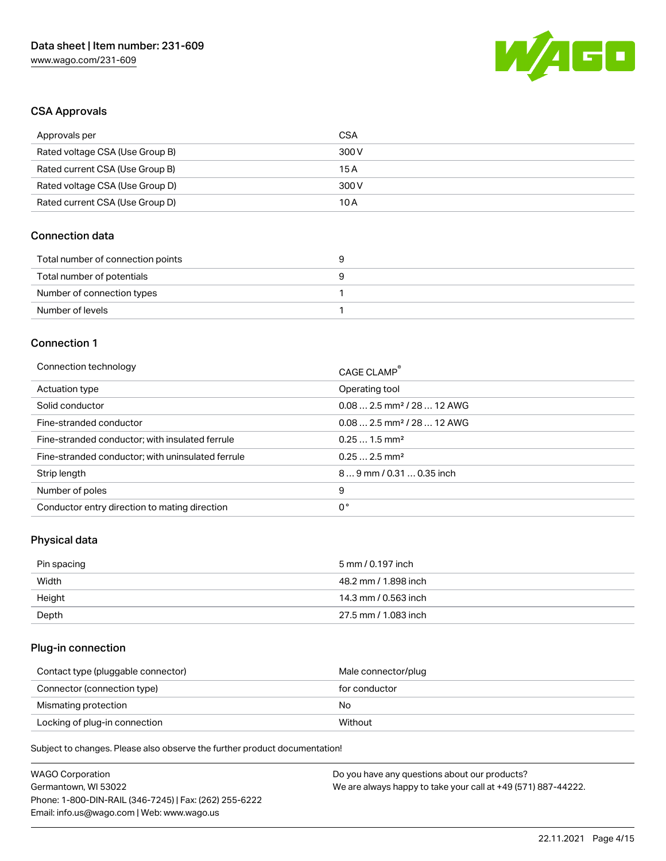

## CSA Approvals

| Approvals per                   | CSA   |
|---------------------------------|-------|
| Rated voltage CSA (Use Group B) | 300 V |
| Rated current CSA (Use Group B) | 15 A  |
| Rated voltage CSA (Use Group D) | 300 V |
| Rated current CSA (Use Group D) | 10 A  |

### Connection data

| Total number of connection points |  |
|-----------------------------------|--|
| Total number of potentials        |  |
| Number of connection types        |  |
| Number of levels                  |  |

#### Connection 1

| Connection technology                             | CAGE CLAMP <sup>®</sup>                |
|---------------------------------------------------|----------------------------------------|
| Actuation type                                    | Operating tool                         |
| Solid conductor                                   | $0.082.5$ mm <sup>2</sup> / 28  12 AWG |
| Fine-stranded conductor                           | $0.082.5$ mm <sup>2</sup> / 28  12 AWG |
| Fine-stranded conductor; with insulated ferrule   | $0.251.5$ mm <sup>2</sup>              |
| Fine-stranded conductor; with uninsulated ferrule | $0.252.5$ mm <sup>2</sup>              |
| Strip length                                      | 89 mm / 0.31  0.35 inch                |
| Number of poles                                   | 9                                      |
| Conductor entry direction to mating direction     | 0°                                     |

### Physical data

| Pin spacing | 5 mm / 0.197 inch    |
|-------------|----------------------|
| Width       | 48.2 mm / 1.898 inch |
| Height      | 14.3 mm / 0.563 inch |
| Depth       | 27.5 mm / 1.083 inch |

# Plug-in connection

| Contact type (pluggable connector) | Male connector/plug |
|------------------------------------|---------------------|
| Connector (connection type)        | for conductor       |
| Mismating protection               | No                  |
| Locking of plug-in connection      | Without             |

| <b>WAGO Corporation</b>                                | Do you have any questions about our products?                 |
|--------------------------------------------------------|---------------------------------------------------------------|
| Germantown, WI 53022                                   | We are always happy to take your call at +49 (571) 887-44222. |
| Phone: 1-800-DIN-RAIL (346-7245)   Fax: (262) 255-6222 |                                                               |
| Email: info.us@wago.com   Web: www.wago.us             |                                                               |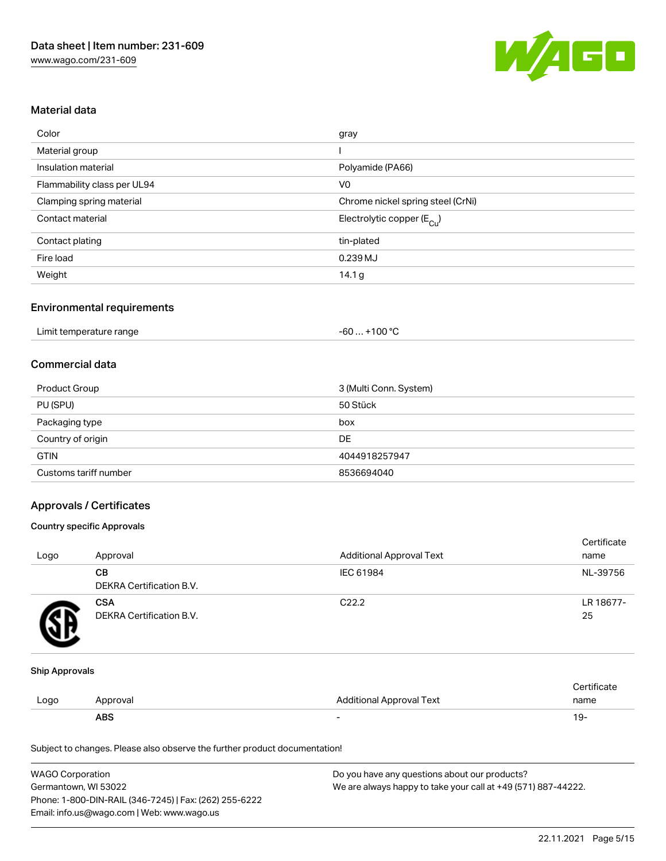

## Material data

| Color                       | gray                                  |
|-----------------------------|---------------------------------------|
| Material group              |                                       |
| Insulation material         | Polyamide (PA66)                      |
| Flammability class per UL94 | V <sub>0</sub>                        |
| Clamping spring material    | Chrome nickel spring steel (CrNi)     |
| Contact material            | Electrolytic copper $(E_{\text{Cl}})$ |
| Contact plating             | tin-plated                            |
| Fire load                   | 0.239 MJ                              |
| Weight                      | 14.1 $g$                              |

### Environmental requirements

### Commercial data

| Product Group         | 3 (Multi Conn. System) |
|-----------------------|------------------------|
| PU (SPU)              | 50 Stück               |
| Packaging type        | box                    |
| Country of origin     | DE                     |
| <b>GTIN</b>           | 4044918257947          |
| Customs tariff number | 8536694040             |

### Approvals / Certificates

#### Country specific Approvals

| Logo | Approval                               | Additional Approval Text | Certificate<br>name |
|------|----------------------------------------|--------------------------|---------------------|
|      | CВ<br><b>DEKRA Certification B.V.</b>  | IEC 61984                | NL-39756            |
|      | <b>CSA</b><br>DEKRA Certification B.V. | C <sub>22.2</sub>        | LR 18677-<br>25     |

#### Ship Approvals

|      | <b>ABS</b> |                                 | 19-  |
|------|------------|---------------------------------|------|
| Logo | Approval   | <b>Additional Approval Text</b> | name |
|      |            |                                 |      |

| <b>WAGO Corporation</b>                                | Do you have any questions about our products?                 |
|--------------------------------------------------------|---------------------------------------------------------------|
| Germantown, WI 53022                                   | We are always happy to take your call at +49 (571) 887-44222. |
| Phone: 1-800-DIN-RAIL (346-7245)   Fax: (262) 255-6222 |                                                               |
| Email: info.us@wago.com   Web: www.wago.us             |                                                               |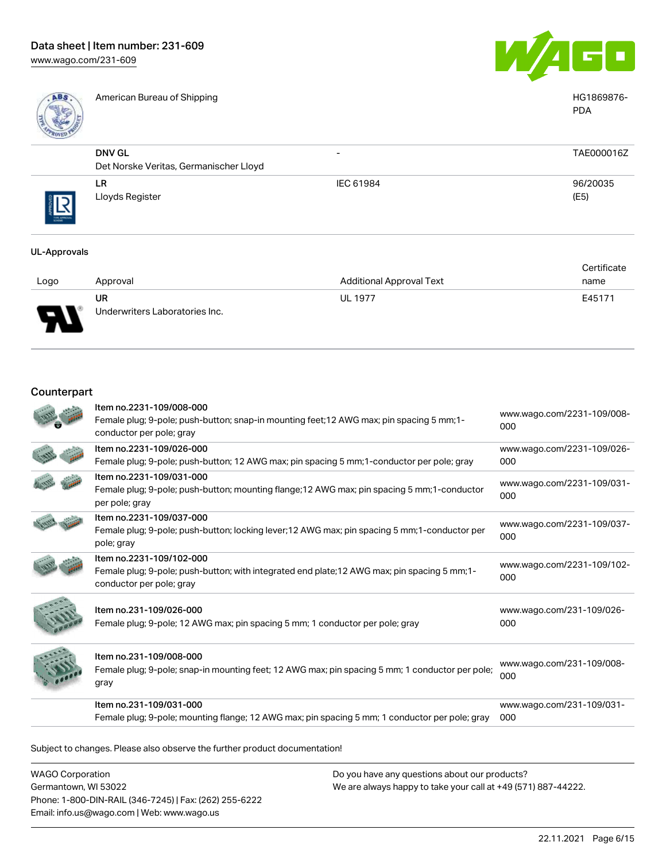

American Bureau of Shipping HG1869876-



|             |                                                         |                          | <b>PDA</b>       |
|-------------|---------------------------------------------------------|--------------------------|------------------|
|             | <b>DNV GL</b><br>Det Norske Veritas, Germanischer Lloyd | $\overline{\phantom{0}}$ | TAE000016Z       |
| THE APPROVA | LR<br>Lloyds Register                                   | IEC 61984                | 96/20035<br>(E5) |

#### UL-Approvals

|      |                                |                                 | Certificate |
|------|--------------------------------|---------------------------------|-------------|
| Logo | Approval                       | <b>Additional Approval Text</b> | name        |
|      | UR                             | <b>UL 1977</b>                  | E45171      |
| Б    | Underwriters Laboratories Inc. |                                 |             |

#### Counterpart

| Female plug; 9-pole; mounting flange; 12 AWG max; pin spacing 5 mm; 1 conductor per pole; gray                                                        | 000                               |
|-------------------------------------------------------------------------------------------------------------------------------------------------------|-----------------------------------|
| Item no.231-109/031-000                                                                                                                               | www.wago.com/231-109/031-         |
| Item no.231-109/008-000<br>Female plug; 9-pole; snap-in mounting feet; 12 AWG max; pin spacing 5 mm; 1 conductor per pole;<br>gray                    | www.wago.com/231-109/008-<br>000  |
| Item no.231-109/026-000<br>Female plug; 9-pole; 12 AWG max; pin spacing 5 mm; 1 conductor per pole; gray                                              | www.wago.com/231-109/026-<br>000  |
| Item no.2231-109/102-000<br>Female plug; 9-pole; push-button; with integrated end plate; 12 AWG max; pin spacing 5 mm; 1-<br>conductor per pole; gray | www.wago.com/2231-109/102-<br>000 |
| Item no.2231-109/037-000<br>Female plug; 9-pole; push-button; locking lever; 12 AWG max; pin spacing 5 mm; 1-conductor per<br>pole; gray              | www.wago.com/2231-109/037-<br>000 |
| Item no.2231-109/031-000<br>Female plug; 9-pole; push-button; mounting flange; 12 AWG max; pin spacing 5 mm; 1-conductor<br>per pole; gray            | www.wago.com/2231-109/031-<br>000 |
| Item no.2231-109/026-000<br>Female plug; 9-pole; push-button; 12 AWG max; pin spacing 5 mm; 1-conductor per pole; gray                                | www.wago.com/2231-109/026-<br>000 |
| Item no.2231-109/008-000<br>Female plug; 9-pole; push-button; snap-in mounting feet; 12 AWG max; pin spacing 5 mm; 1-<br>conductor per pole; gray     | www.wago.com/2231-109/008-<br>000 |

Subject to changes. Please also observe the further product documentation!

WAGO Corporation Germantown, WI 53022 Phone: 1-800-DIN-RAIL (346-7245) | Fax: (262) 255-6222 Email: info.us@wago.com | Web: www.wago.us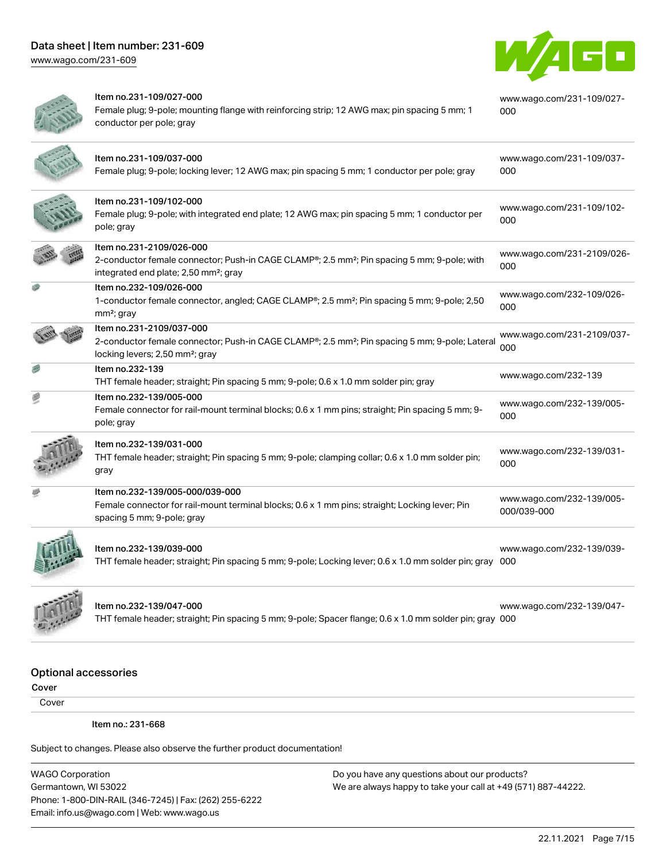[www.wago.com/231-609](http://www.wago.com/231-609)



|   | Item no.231-109/027-000<br>Female plug; 9-pole; mounting flange with reinforcing strip; 12 AWG max; pin spacing 5 mm; 1<br>conductor per pole; gray                                      | www.wago.com/231-109/027-<br>000         |
|---|------------------------------------------------------------------------------------------------------------------------------------------------------------------------------------------|------------------------------------------|
|   | Item no.231-109/037-000<br>Female plug; 9-pole; locking lever; 12 AWG max; pin spacing 5 mm; 1 conductor per pole; gray                                                                  | www.wago.com/231-109/037-<br>000         |
|   | Item no.231-109/102-000<br>Female plug; 9-pole; with integrated end plate; 12 AWG max; pin spacing 5 mm; 1 conductor per<br>pole; gray                                                   | www.wago.com/231-109/102-<br>000         |
|   | Item no.231-2109/026-000<br>2-conductor female connector; Push-in CAGE CLAMP®; 2.5 mm <sup>2</sup> ; Pin spacing 5 mm; 9-pole; with<br>integrated end plate; 2,50 mm <sup>2</sup> ; gray | www.wago.com/231-2109/026-<br>000        |
|   | Item no.232-109/026-000<br>1-conductor female connector, angled; CAGE CLAMP®; 2.5 mm <sup>2</sup> ; Pin spacing 5 mm; 9-pole; 2,50<br>mm <sup>2</sup> ; gray                             | www.wago.com/232-109/026-<br>000         |
|   | Item no.231-2109/037-000<br>2-conductor female connector; Push-in CAGE CLAMP®; 2.5 mm <sup>2</sup> ; Pin spacing 5 mm; 9-pole; Lateral<br>locking levers; 2,50 mm <sup>2</sup> ; gray    | www.wago.com/231-2109/037-<br>000        |
|   | Item no.232-139<br>THT female header; straight; Pin spacing 5 mm; 9-pole; 0.6 x 1.0 mm solder pin; gray                                                                                  | www.wago.com/232-139                     |
| 國 | Item no.232-139/005-000<br>Female connector for rail-mount terminal blocks; 0.6 x 1 mm pins; straight; Pin spacing 5 mm; 9-<br>pole; gray                                                | www.wago.com/232-139/005-<br>000         |
|   | Item no.232-139/031-000<br>THT female header; straight; Pin spacing 5 mm; 9-pole; clamping collar; 0.6 x 1.0 mm solder pin;<br>gray                                                      | www.wago.com/232-139/031-<br>000         |
|   | Item no.232-139/005-000/039-000<br>Female connector for rail-mount terminal blocks; 0.6 x 1 mm pins; straight; Locking lever; Pin<br>spacing 5 mm; 9-pole; gray                          | www.wago.com/232-139/005-<br>000/039-000 |
|   | Item no.232-139/039-000<br>THT female header; straight; Pin spacing 5 mm; 9-pole; Locking lever; 0.6 x 1.0 mm solder pin; gray 000                                                       | www.wago.com/232-139/039-                |
|   | ltem no.232-139/047-000                                                                                                                                                                  | www.wago.com/232-139/047-                |

THT female header; straight; Pin spacing 5 mm; 9-pole; Spacer flange; 0.6 x 1.0 mm solder pin; gray [000](https://www.wago.com/232-139/047-000)

# [www.wago.com/232-139/047-](https://www.wago.com/232-139/047-000)

# Optional accessories

Cover

Cover

Item no.: 231-668

Subject to changes. Please also observe the further product documentation!

WAGO Corporation Germantown, WI 53022 Phone: 1-800-DIN-RAIL (346-7245) | Fax: (262) 255-6222 Email: info.us@wago.com | Web: www.wago.us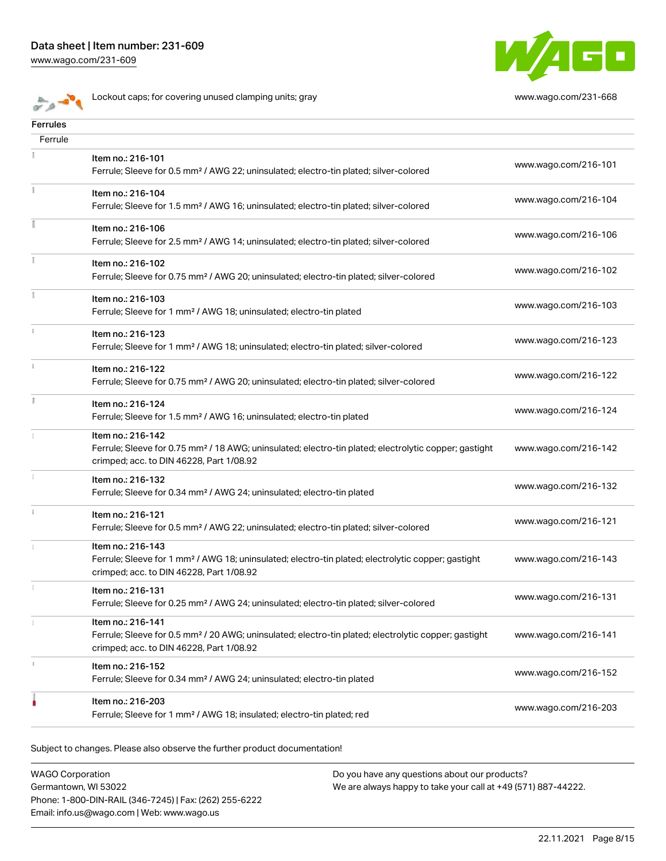[www.wago.com/231-609](http://www.wago.com/231-609)



**Lockout caps; for covering unused clamping units; gray [www.wago.com/231-668](http://www.wago.com/231-668)** 



| Ferrules      |                                                                                                                                                                                    |                      |
|---------------|------------------------------------------------------------------------------------------------------------------------------------------------------------------------------------|----------------------|
| Ferrule       |                                                                                                                                                                                    |                      |
|               | Item no.: 216-101<br>Ferrule; Sleeve for 0.5 mm <sup>2</sup> / AWG 22; uninsulated; electro-tin plated; silver-colored                                                             | www.wago.com/216-101 |
|               | Item no.: 216-104<br>Ferrule; Sleeve for 1.5 mm <sup>2</sup> / AWG 16; uninsulated; electro-tin plated; silver-colored                                                             | www.wago.com/216-104 |
|               | Item no.: 216-106<br>Ferrule; Sleeve for 2.5 mm <sup>2</sup> / AWG 14; uninsulated; electro-tin plated; silver-colored                                                             | www.wago.com/216-106 |
| Ŧ.            | Item no.: 216-102<br>Ferrule; Sleeve for 0.75 mm <sup>2</sup> / AWG 20; uninsulated; electro-tin plated; silver-colored                                                            | www.wago.com/216-102 |
|               | Item no.: 216-103<br>Ferrule; Sleeve for 1 mm <sup>2</sup> / AWG 18; uninsulated; electro-tin plated                                                                               | www.wago.com/216-103 |
|               | Item no.: 216-123<br>Ferrule; Sleeve for 1 mm <sup>2</sup> / AWG 18; uninsulated; electro-tin plated; silver-colored                                                               | www.wago.com/216-123 |
| $\frac{3}{3}$ | Item no.: 216-122<br>Ferrule; Sleeve for 0.75 mm <sup>2</sup> / AWG 20; uninsulated; electro-tin plated; silver-colored                                                            | www.wago.com/216-122 |
|               | Item no.: 216-124<br>Ferrule; Sleeve for 1.5 mm <sup>2</sup> / AWG 16; uninsulated; electro-tin plated                                                                             | www.wago.com/216-124 |
|               | Item no.: 216-142<br>Ferrule; Sleeve for 0.75 mm <sup>2</sup> / 18 AWG; uninsulated; electro-tin plated; electrolytic copper; gastight<br>crimped; acc. to DIN 46228, Part 1/08.92 | www.wago.com/216-142 |
|               | Item no.: 216-132<br>Ferrule; Sleeve for 0.34 mm <sup>2</sup> / AWG 24; uninsulated; electro-tin plated                                                                            | www.wago.com/216-132 |
|               | Item no.: 216-121<br>Ferrule; Sleeve for 0.5 mm <sup>2</sup> / AWG 22; uninsulated; electro-tin plated; silver-colored                                                             | www.wago.com/216-121 |
|               | Item no.: 216-143<br>Ferrule; Sleeve for 1 mm <sup>2</sup> / AWG 18; uninsulated; electro-tin plated; electrolytic copper; gastight<br>crimped; acc. to DIN 46228, Part 1/08.92    | www.wago.com/216-143 |
|               | Item no.: 216-131<br>Ferrule; Sleeve for 0.25 mm <sup>2</sup> / AWG 24; uninsulated; electro-tin plated; silver-colored                                                            | www.wago.com/216-131 |
|               | Item no.: 216-141<br>Ferrule; Sleeve for 0.5 mm <sup>2</sup> / 20 AWG; uninsulated; electro-tin plated; electrolytic copper; gastight<br>crimped; acc. to DIN 46228, Part 1/08.92  | www.wago.com/216-141 |
|               | Item no.: 216-152<br>Ferrule; Sleeve for 0.34 mm <sup>2</sup> / AWG 24; uninsulated; electro-tin plated                                                                            | www.wago.com/216-152 |
|               | Item no.: 216-203<br>Ferrule; Sleeve for 1 mm <sup>2</sup> / AWG 18; insulated; electro-tin plated; red                                                                            | www.wago.com/216-203 |
|               |                                                                                                                                                                                    |                      |

Subject to changes. Please also observe the further product documentation!

WAGO Corporation Germantown, WI 53022 Phone: 1-800-DIN-RAIL (346-7245) | Fax: (262) 255-6222 Email: info.us@wago.com | Web: www.wago.us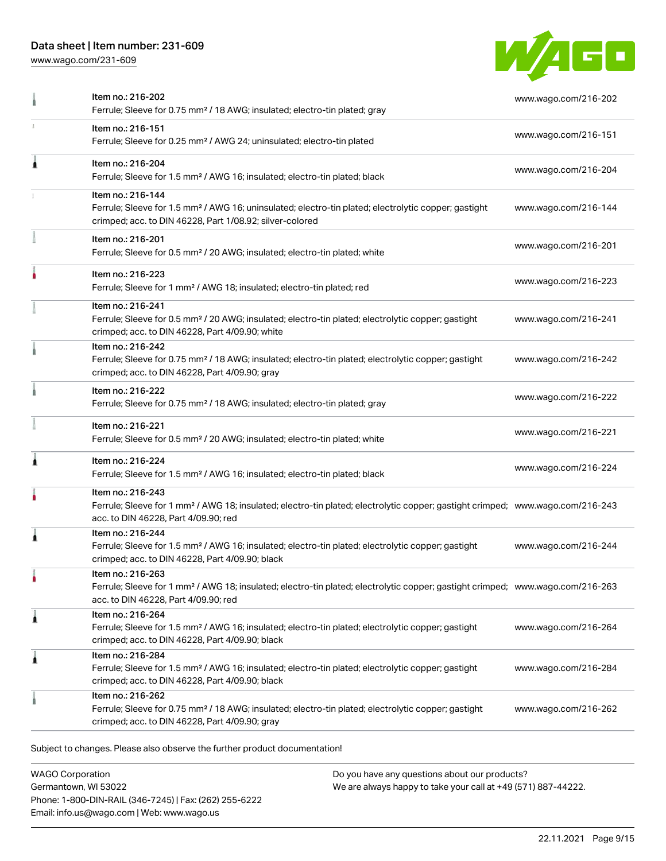[www.wago.com/231-609](http://www.wago.com/231-609)



|   | Item no.: 216-202<br>Ferrule; Sleeve for 0.75 mm <sup>2</sup> / 18 AWG; insulated; electro-tin plated; gray                                                                                             | www.wago.com/216-202 |
|---|---------------------------------------------------------------------------------------------------------------------------------------------------------------------------------------------------------|----------------------|
|   | Item no.: 216-151<br>Ferrule; Sleeve for 0.25 mm <sup>2</sup> / AWG 24; uninsulated; electro-tin plated                                                                                                 | www.wago.com/216-151 |
| Â | Item no.: 216-204<br>Ferrule; Sleeve for 1.5 mm <sup>2</sup> / AWG 16; insulated; electro-tin plated; black                                                                                             | www.wago.com/216-204 |
|   | Item no.: 216-144<br>Ferrule; Sleeve for 1.5 mm <sup>2</sup> / AWG 16; uninsulated; electro-tin plated; electrolytic copper; gastight<br>crimped; acc. to DIN 46228, Part 1/08.92; silver-colored       | www.wago.com/216-144 |
|   | Item no.: 216-201<br>Ferrule; Sleeve for 0.5 mm <sup>2</sup> / 20 AWG; insulated; electro-tin plated; white                                                                                             | www.wago.com/216-201 |
|   | Item no.: 216-223<br>Ferrule; Sleeve for 1 mm <sup>2</sup> / AWG 18; insulated; electro-tin plated; red                                                                                                 | www.wago.com/216-223 |
|   | Item no.: 216-241<br>Ferrule; Sleeve for 0.5 mm <sup>2</sup> / 20 AWG; insulated; electro-tin plated; electrolytic copper; gastight<br>crimped; acc. to DIN 46228, Part 4/09.90; white                  | www.wago.com/216-241 |
|   | Item no.: 216-242<br>Ferrule; Sleeve for 0.75 mm <sup>2</sup> / 18 AWG; insulated; electro-tin plated; electrolytic copper; gastight<br>crimped; acc. to DIN 46228, Part 4/09.90; gray                  | www.wago.com/216-242 |
|   | Item no.: 216-222<br>Ferrule; Sleeve for 0.75 mm <sup>2</sup> / 18 AWG; insulated; electro-tin plated; gray                                                                                             | www.wago.com/216-222 |
|   | Item no.: 216-221<br>Ferrule; Sleeve for 0.5 mm <sup>2</sup> / 20 AWG; insulated; electro-tin plated; white                                                                                             | www.wago.com/216-221 |
| 1 | Item no.: 216-224<br>Ferrule; Sleeve for 1.5 mm <sup>2</sup> / AWG 16; insulated; electro-tin plated; black                                                                                             | www.wago.com/216-224 |
|   | Item no.: 216-243<br>Ferrule; Sleeve for 1 mm <sup>2</sup> / AWG 18; insulated; electro-tin plated; electrolytic copper; gastight crimped; www.wago.com/216-243<br>acc. to DIN 46228, Part 4/09.90; red |                      |
| Â | Item no.: 216-244<br>Ferrule; Sleeve for 1.5 mm <sup>2</sup> / AWG 16; insulated; electro-tin plated; electrolytic copper; gastight<br>crimped; acc. to DIN 46228, Part 4/09.90; black                  | www.wago.com/216-244 |
|   | Item no.: 216-263<br>Ferrule; Sleeve for 1 mm <sup>2</sup> / AWG 18; insulated; electro-tin plated; electrolytic copper; gastight crimped; www.wago.com/216-263<br>acc. to DIN 46228, Part 4/09.90; red |                      |
| À | Item no.: 216-264<br>Ferrule; Sleeve for 1.5 mm <sup>2</sup> / AWG 16; insulated; electro-tin plated; electrolytic copper; gastight<br>crimped; acc. to DIN 46228, Part 4/09.90; black                  | www.wago.com/216-264 |
| 1 | Item no.: 216-284<br>Ferrule; Sleeve for 1.5 mm <sup>2</sup> / AWG 16; insulated; electro-tin plated; electrolytic copper; gastight<br>crimped; acc. to DIN 46228, Part 4/09.90; black                  | www.wago.com/216-284 |
|   | Item no.: 216-262<br>Ferrule; Sleeve for 0.75 mm <sup>2</sup> / 18 AWG; insulated; electro-tin plated; electrolytic copper; gastight<br>crimped; acc. to DIN 46228, Part 4/09.90; gray                  | www.wago.com/216-262 |

WAGO Corporation Germantown, WI 53022 Phone: 1-800-DIN-RAIL (346-7245) | Fax: (262) 255-6222 Email: info.us@wago.com | Web: www.wago.us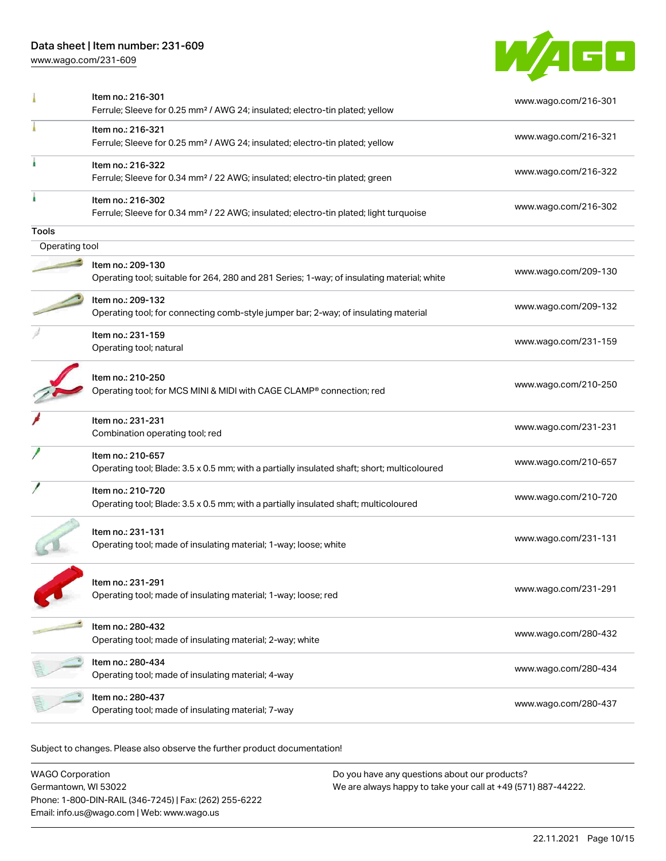[www.wago.com/231-609](http://www.wago.com/231-609)



|                | Item no.: 216-301<br>Ferrule; Sleeve for 0.25 mm <sup>2</sup> / AWG 24; insulated; electro-tin plated; yellow          | www.wago.com/216-301 |
|----------------|------------------------------------------------------------------------------------------------------------------------|----------------------|
|                | Item no.: 216-321<br>Ferrule; Sleeve for 0.25 mm <sup>2</sup> / AWG 24; insulated; electro-tin plated; yellow          | www.wago.com/216-321 |
|                | Item no.: 216-322<br>Ferrule; Sleeve for 0.34 mm <sup>2</sup> / 22 AWG; insulated; electro-tin plated; green           | www.wago.com/216-322 |
|                | Item no.: 216-302<br>Ferrule; Sleeve for 0.34 mm <sup>2</sup> / 22 AWG; insulated; electro-tin plated; light turquoise | www.wago.com/216-302 |
| Tools          |                                                                                                                        |                      |
| Operating tool |                                                                                                                        |                      |
|                | Item no.: 209-130<br>Operating tool; suitable for 264, 280 and 281 Series; 1-way; of insulating material; white        | www.wago.com/209-130 |
|                | Item no.: 209-132<br>Operating tool; for connecting comb-style jumper bar; 2-way; of insulating material               | www.wago.com/209-132 |
|                | Item no.: 231-159<br>Operating tool; natural                                                                           | www.wago.com/231-159 |
|                | Item no.: 210-250<br>Operating tool; for MCS MINI & MIDI with CAGE CLAMP® connection; red                              | www.wago.com/210-250 |
|                | Item no.: 231-231<br>Combination operating tool; red                                                                   | www.wago.com/231-231 |
|                | Item no.: 210-657<br>Operating tool; Blade: 3.5 x 0.5 mm; with a partially insulated shaft; short; multicoloured       | www.wago.com/210-657 |
|                | Item no.: 210-720<br>Operating tool; Blade: 3.5 x 0.5 mm; with a partially insulated shaft; multicoloured              | www.wago.com/210-720 |
|                | Item no.: 231-131<br>Operating tool; made of insulating material; 1-way; loose; white                                  | www.wago.com/231-131 |
|                | Item no.: 231-291<br>Operating tool; made of insulating material; 1-way; loose; red                                    | www.wago.com/231-291 |
|                | Item no.: 280-432<br>Operating tool; made of insulating material; 2-way; white                                         | www.wago.com/280-432 |
|                | Item no.: 280-434<br>Operating tool; made of insulating material; 4-way                                                | www.wago.com/280-434 |
|                | Item no.: 280-437<br>Operating tool; made of insulating material; 7-way                                                | www.wago.com/280-437 |
|                |                                                                                                                        |                      |

| <b>WAGO Corporation</b>                                | Do you have any questions about our products?                 |
|--------------------------------------------------------|---------------------------------------------------------------|
| Germantown, WI 53022                                   | We are always happy to take your call at +49 (571) 887-44222. |
| Phone: 1-800-DIN-RAIL (346-7245)   Fax: (262) 255-6222 |                                                               |
| Email: info.us@wago.com   Web: www.wago.us             |                                                               |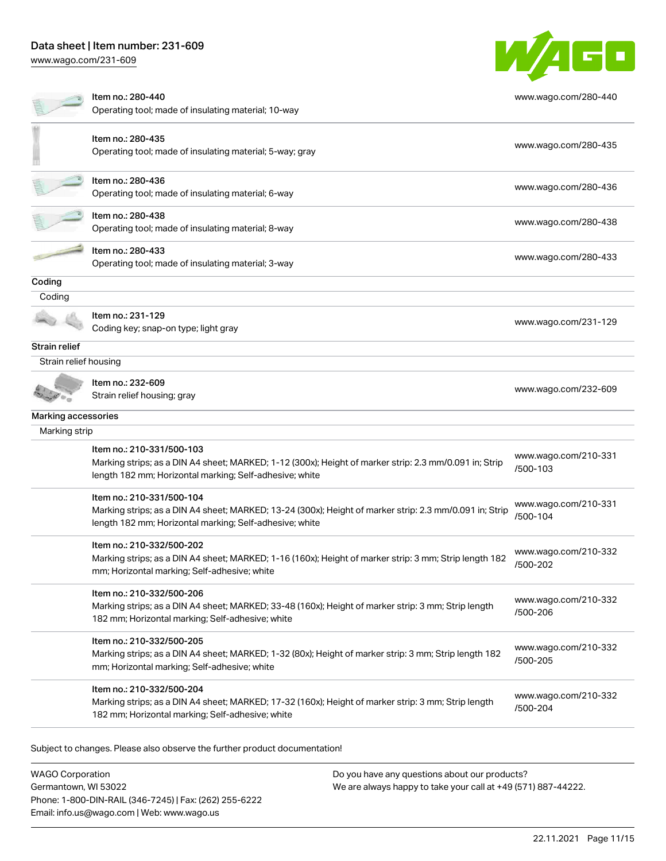Phone: 1-800-DIN-RAIL (346-7245) | Fax: (262) 255-6222

Email: info.us@wago.com | Web: www.wago.us

[www.wago.com/231-609](http://www.wago.com/231-609)

|                                                 | Item no.: 280-440<br>Operating tool; made of insulating material; 10-way                                                                                                                        |                                                                                                                | www.wago.com/280-440             |  |
|-------------------------------------------------|-------------------------------------------------------------------------------------------------------------------------------------------------------------------------------------------------|----------------------------------------------------------------------------------------------------------------|----------------------------------|--|
|                                                 |                                                                                                                                                                                                 |                                                                                                                |                                  |  |
|                                                 | Item no.: 280-435<br>Operating tool; made of insulating material; 5-way; gray                                                                                                                   |                                                                                                                | www.wago.com/280-435             |  |
|                                                 | Item no.: 280-436<br>Operating tool; made of insulating material; 6-way                                                                                                                         |                                                                                                                | www.wago.com/280-436             |  |
|                                                 | ltem no.: 280-438<br>Operating tool; made of insulating material; 8-way                                                                                                                         |                                                                                                                | www.wago.com/280-438             |  |
|                                                 | Item no.: 280-433<br>Operating tool; made of insulating material; 3-way                                                                                                                         |                                                                                                                | www.wago.com/280-433             |  |
| Coding                                          |                                                                                                                                                                                                 |                                                                                                                |                                  |  |
| Coding                                          |                                                                                                                                                                                                 |                                                                                                                |                                  |  |
|                                                 | Item no.: 231-129<br>Coding key; snap-on type; light gray                                                                                                                                       |                                                                                                                | www.wago.com/231-129             |  |
| Strain relief                                   |                                                                                                                                                                                                 |                                                                                                                |                                  |  |
| Strain relief housing                           |                                                                                                                                                                                                 |                                                                                                                |                                  |  |
|                                                 | Item no.: 232-609<br>Strain relief housing; gray                                                                                                                                                |                                                                                                                | www.wago.com/232-609             |  |
| Marking accessories                             |                                                                                                                                                                                                 |                                                                                                                |                                  |  |
| Marking strip                                   |                                                                                                                                                                                                 |                                                                                                                |                                  |  |
|                                                 | Item no.: 210-331/500-103<br>Marking strips; as a DIN A4 sheet; MARKED; 1-12 (300x); Height of marker strip: 2.3 mm/0.091 in; Strip<br>length 182 mm; Horizontal marking; Self-adhesive; white  |                                                                                                                | www.wago.com/210-331<br>/500-103 |  |
|                                                 | Item no.: 210-331/500-104<br>Marking strips; as a DIN A4 sheet; MARKED; 13-24 (300x); Height of marker strip: 2.3 mm/0.091 in; Strip<br>length 182 mm; Horizontal marking; Self-adhesive; white |                                                                                                                | www.wago.com/210-331<br>/500-104 |  |
|                                                 | Item no.: 210-332/500-202<br>Marking strips; as a DIN A4 sheet; MARKED; 1-16 (160x); Height of marker strip: 3 mm; Strip length 182<br>mm; Horizontal marking; Self-adhesive; white             |                                                                                                                | www.wago.com/210-332<br>/500-202 |  |
|                                                 | Item no.: 210-332/500-206<br>Marking strips; as a DIN A4 sheet; MARKED; 33-48 (160x); Height of marker strip: 3 mm; Strip length<br>182 mm; Horizontal marking; Self-adhesive; white            |                                                                                                                | www.wago.com/210-332<br>/500-206 |  |
|                                                 | Item no.: 210-332/500-205<br>Marking strips; as a DIN A4 sheet; MARKED; 1-32 (80x); Height of marker strip: 3 mm; Strip length 182<br>mm; Horizontal marking; Self-adhesive; white              |                                                                                                                | www.wago.com/210-332<br>/500-205 |  |
|                                                 | Item no.: 210-332/500-204<br>Marking strips; as a DIN A4 sheet; MARKED; 17-32 (160x); Height of marker strip: 3 mm; Strip length<br>182 mm; Horizontal marking; Self-adhesive; white            |                                                                                                                | www.wago.com/210-332<br>/500-204 |  |
|                                                 | Subject to changes. Please also observe the further product documentation!                                                                                                                      |                                                                                                                |                                  |  |
| <b>WAGO Corporation</b><br>Germantown, WI 53022 |                                                                                                                                                                                                 | Do you have any questions about our products?<br>We are always happy to take your call at +49 (571) 887-44222. |                                  |  |

WAGO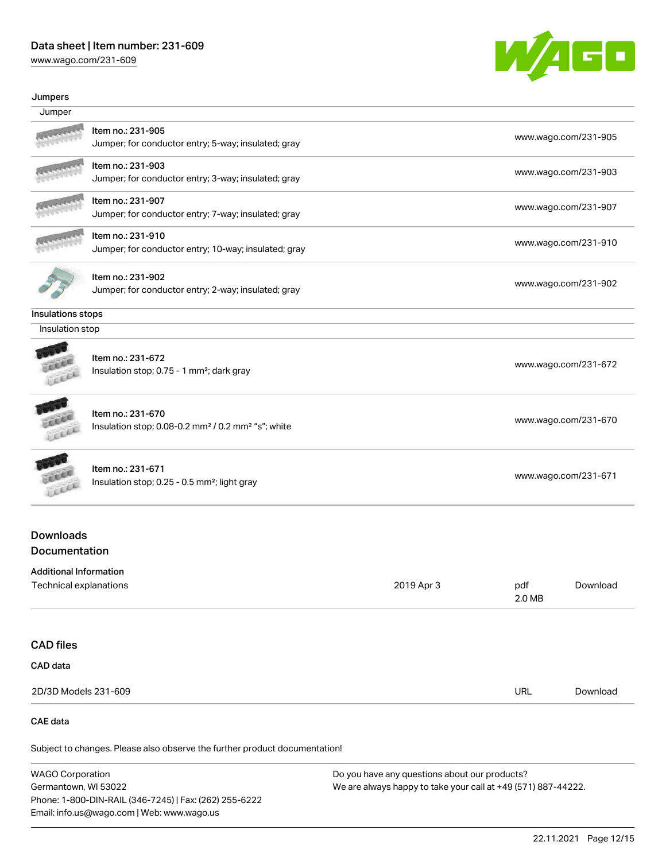[www.wago.com/231-609](http://www.wago.com/231-609)



#### Jumpers

| Jumper                                                  |                                                                                                 |            |                      |                      |
|---------------------------------------------------------|-------------------------------------------------------------------------------------------------|------------|----------------------|----------------------|
|                                                         | Item no.: 231-905<br>Jumper; for conductor entry; 5-way; insulated; gray                        |            |                      | www.wago.com/231-905 |
|                                                         | Item no.: 231-903<br>Jumper; for conductor entry; 3-way; insulated; gray                        |            |                      | www.wago.com/231-903 |
|                                                         | Item no.: 231-907<br>Jumper; for conductor entry; 7-way; insulated; gray                        |            |                      | www.wago.com/231-907 |
|                                                         | Item no.: 231-910<br>Jumper; for conductor entry; 10-way; insulated; gray                       |            |                      | www.wago.com/231-910 |
|                                                         | Item no.: 231-902<br>Jumper; for conductor entry; 2-way; insulated; gray                        |            |                      | www.wago.com/231-902 |
| Insulations stops                                       |                                                                                                 |            |                      |                      |
| Insulation stop                                         |                                                                                                 |            |                      |                      |
|                                                         | Item no.: 231-672<br>Insulation stop; 0.75 - 1 mm <sup>2</sup> ; dark gray                      |            |                      | www.wago.com/231-672 |
| <b>CALLER</b>                                           | Item no.: 231-670<br>Insulation stop; 0.08-0.2 mm <sup>2</sup> / 0.2 mm <sup>2</sup> "s"; white |            | www.wago.com/231-670 |                      |
| EXCE                                                    | Item no.: 231-671<br>Insulation stop; 0.25 - 0.5 mm <sup>2</sup> ; light gray                   |            | www.wago.com/231-671 |                      |
| <b>Downloads</b><br>Documentation                       |                                                                                                 |            |                      |                      |
| <b>Additional Information</b><br>Technical explanations |                                                                                                 | 2019 Apr 3 | pdf<br>2.0 MB        | Download             |
| <b>CAD files</b>                                        |                                                                                                 |            |                      |                      |
| CAD data                                                |                                                                                                 |            |                      |                      |
| 2D/3D Models 231-609                                    |                                                                                                 |            | URL                  | Download             |
| <b>CAE</b> data                                         |                                                                                                 |            |                      |                      |

Subject to changes. Please also observe the further product documentation!

WAGO Corporation Germantown, WI 53022 Phone: 1-800-DIN-RAIL (346-7245) | Fax: (262) 255-6222 Email: info.us@wago.com | Web: www.wago.us Do you have any questions about our products? We are always happy to take your call at +49 (571) 887-44222.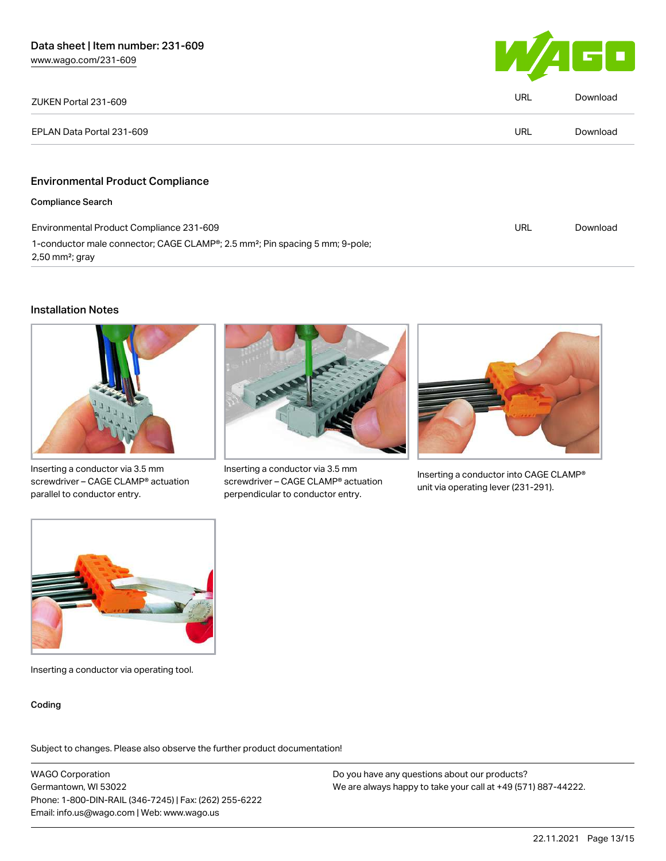

| ZUKEN Portal 231-609                                                                                                                   | <b>URL</b> | Download |
|----------------------------------------------------------------------------------------------------------------------------------------|------------|----------|
| EPLAN Data Portal 231-609                                                                                                              | URL        | Download |
|                                                                                                                                        |            |          |
| <b>Environmental Product Compliance</b>                                                                                                |            |          |
| <b>Compliance Search</b>                                                                                                               |            |          |
| Environmental Product Compliance 231-609                                                                                               | <b>URL</b> | Download |
| 1-conductor male connector; CAGE CLAMP <sup>®</sup> ; 2.5 mm <sup>2</sup> ; Pin spacing 5 mm; 9-pole;<br>$2,50$ mm <sup>2</sup> ; gray |            |          |

#### Installation Notes



Inserting a conductor via 3.5 mm screwdriver – CAGE CLAMP® actuation parallel to conductor entry.



Inserting a conductor via 3.5 mm screwdriver – CAGE CLAMP® actuation perpendicular to conductor entry.



Inserting a conductor into CAGE CLAMP® unit via operating lever (231-291).



Inserting a conductor via operating tool.

#### Coding

Subject to changes. Please also observe the further product documentation!

WAGO Corporation Germantown, WI 53022 Phone: 1-800-DIN-RAIL (346-7245) | Fax: (262) 255-6222 Email: info.us@wago.com | Web: www.wago.us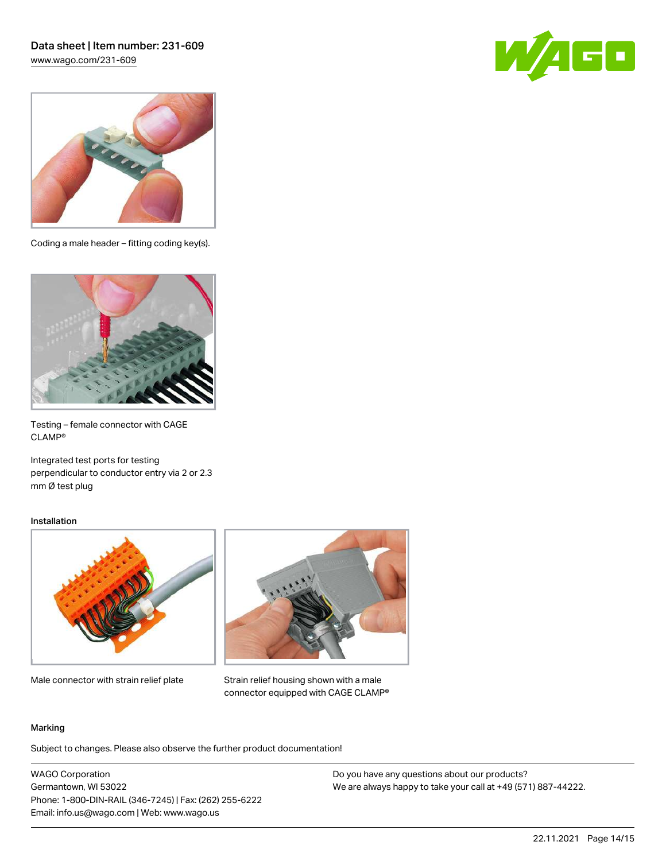## Data sheet | Item number: 231-609 [www.wago.com/231-609](http://www.wago.com/231-609)





Coding a male header – fitting coding key(s).



Testing – female connector with CAGE CLAMP®

Integrated test ports for testing perpendicular to conductor entry via 2 or 2.3 mm Ø test plug

#### Installation



Male connector with strain relief plate



Strain relief housing shown with a male connector equipped with CAGE CLAMP®

#### Marking

Subject to changes. Please also observe the further product documentation!

WAGO Corporation Germantown, WI 53022 Phone: 1-800-DIN-RAIL (346-7245) | Fax: (262) 255-6222 Email: info.us@wago.com | Web: www.wago.us